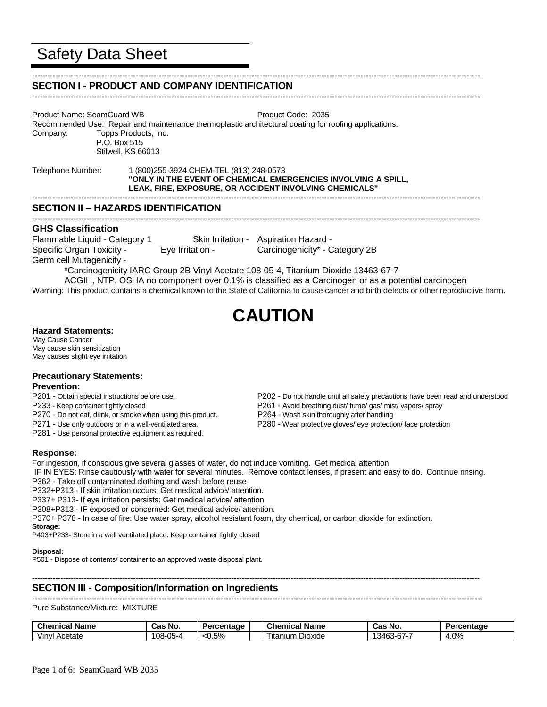#### ----------------------------------------------------------------------------------------------------------------------------------------------------------------------------- **SECTION I - PRODUCT AND COMPANY IDENTIFICATION**

-----------------------------------------------------------------------------------------------------------------------------------------------------------------------------

-----------------------------------------------------------------------------------------------------------------------------------------------------------------------------

-----------------------------------------------------------------------------------------------------------------------------------------------------------------------------

Product Name: SeamGuard WB **Product Code: 2035** Recommended Use: Repair and maintenance thermoplastic architectural coating for roofing applications. Company: Topps Products, Inc. P.O. Box 515 Stilwell, KS 66013

Telephone Number: 1 (800)255-3924 CHEM-TEL (813) 248-0573 **"ONLY IN THE EVENT OF CHEMICAL EMERGENCIES INVOLVING A SPILL, LEAK, FIRE, EXPOSURE, OR ACCIDENT INVOLVING CHEMICALS"**

# **SECTION II – HAZARDS IDENTIFICATION**

## **GHS Classification**

Flammable Liquid - Category 1 Skin Irritation - Aspiration Hazard - Specific Organ Toxicity - Eye Irritation - Carcinogenicity\* - Category 2B Germ cell Mutagenicity -

\*Carcinogenicity IARC Group 2B Vinyl Acetate 108-05-4, Titanium Dioxide 13463-67-7

ACGIH, NTP, OSHA no component over 0.1% is classified as a Carcinogen or as a potential carcinogen Warning: This product contains a chemical known to the State of California to cause cancer and birth defects or other reproductive harm.

# **CAUTION**

# **Hazard Statements:**

May Cause Cancer May cause skin sensitization May causes slight eye irritation

## **Precautionary Statements:**

## **Prevention:**

- 
- 
- P270 Do not eat, drink, or smoke when using this product. P264 Wash skin thoroughly after handling
- 
- P281 Use personal protective equipment as required.
- P201 Obtain special instructions before use. P202 Do not handle until all safety precautions have been read and understood
- P233 Keep container tightly closed P261 Avoid breathing dust/ fume/ gas/ mist/ vapors/ spray
	-
- P271 Use only outdoors or in a well-ventilated area. P280 Wear protective gloves/ eye protection/ face protection

## **Response:**

For ingestion, if conscious give several glasses of water, do not induce vomiting. Get medical attention

IF IN EYES: Rinse cautiously with water for several minutes. Remove contact lenses, if present and easy to do. Continue rinsing. P362 - Take off contaminated clothing and wash before reuse

- P332+P313 If skin irritation occurs: Get medical advice/ attention.
- P337+ P313- If eye irritation persists: Get medical advice/ attention

P308+P313 - IF exposed or concerned: Get medical advice/ attention.

P370+ P378 - In case of fire: Use water spray, alcohol resistant foam, dry chemical, or carbon dioxide for extinction. **Storage:**

P403+P233- Store in a well ventilated place. Keep container tightly closed

#### **Disposal:**

P501 - Dispose of contents/ container to an approved waste disposal plant.

-----------------------------------------------------------------------------------------------------------------------------------------------------------------------------

# **SECTION III - Composition/Information on Ingredients**

#### ------------------------------------------------------------------------------------------------------------------------------------------------------------------------------ Pure Substance/Mixture: MIXTURE

| $\sim$<br>Chemical<br>Name | . .<br><b>NO</b><br>Cas | п.<br>ercentage<br>- - | $\sim$<br><b>Name</b><br>$-$<br>∪ne<br>ншсаг | <b>TAC</b><br>No<br>vd.                    | Percentage                            |
|----------------------------|-------------------------|------------------------|----------------------------------------------|--------------------------------------------|---------------------------------------|
| Acetate<br>vinv            | $-05-4$<br>' ባጸ-<br>vu  | .50/<br><0.5%          | --<br>Dioxide<br>ı itanıum                   | $\sim$<br>$\triangle$<br>.<br>- ت<br>TUJ J | $\Omega$<br>$\overline{ }$<br>4.V / 0 |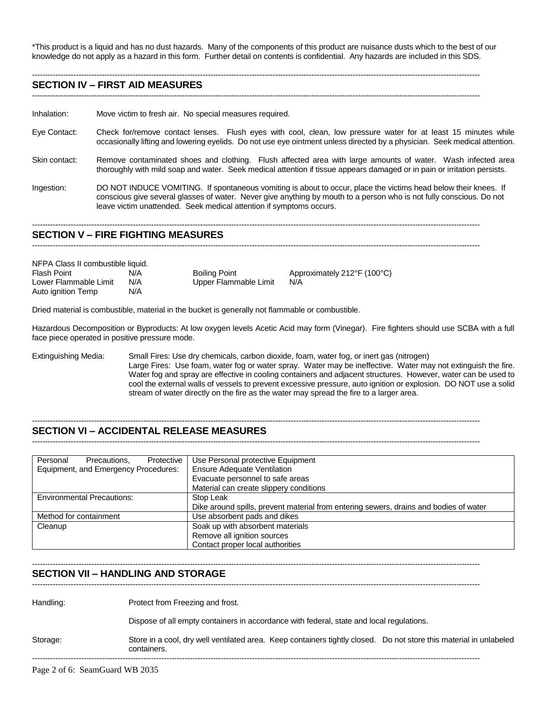\*This product is a liquid and has no dust hazards. Many of the components of this product are nuisance dusts which to the best of our knowledge do not apply as a hazard in this form. Further detail on contents is confidential. Any hazards are included in this SDS.

-----------------------------------------------------------------------------------------------------------------------------------------------------------------------------

#### **SECTION IV – FIRST AID MEASURES**

-----------------------------------------------------------------------------------------------------------------------------------------------------------------------------

Inhalation: Move victim to fresh air. No special measures required.

- Eye Contact: Check for/remove contact lenses. Flush eyes with cool, clean, low pressure water for at least 15 minutes while occasionally lifting and lowering eyelids. Do not use eye ointment unless directed by a physician. Seek medical attention.
- Skin contact: Remove contaminated shoes and clothing. Flush affected area with large amounts of water. Wash infected area thoroughly with mild soap and water. Seek medical attention if tissue appears damaged or in pain or irritation persists.
- Ingestion: DO NOT INDUCE VOMITING. If spontaneous vomiting is about to occur, place the victims head below their knees. If conscious give several glasses of water. Never give anything by mouth to a person who is not fully conscious. Do not leave victim unattended. Seek medical attention if symptoms occurs.

#### **SECTION V – FIRE FIGHTING MEASURES**

-----------------------------------------------------------------------------------------------------------------------------------------------------------------------------

-----------------------------------------------------------------------------------------------------------------------------------------------------------------------------

| NFPA Class II combustible liquid. |     |                       |                                            |  |
|-----------------------------------|-----|-----------------------|--------------------------------------------|--|
| Flash Point                       | N/A | <b>Boiling Point</b>  | Approximately $212^{\circ}F(100^{\circ}C)$ |  |
| Lower Flammable Limit             | N/A | Upper Flammable Limit | N/A                                        |  |
| Auto ignition Temp                | N/A |                       |                                            |  |

Dried material is combustible, material in the bucket is generally not flammable or combustible.

Hazardous Decomposition or Byproducts: At low oxygen levels Acetic Acid may form (Vinegar). Fire fighters should use SCBA with a full face piece operated in positive pressure mode.

Extinguishing Media: Small Fires: Use dry chemicals, carbon dioxide, foam, water fog, or inert gas (nitrogen) Large Fires: Use foam, water fog or water spray. Water may be ineffective. Water may not extinguish the fire. Water fog and spray are effective in cooling containers and adjacent structures. However, water can be used to cool the external walls of vessels to prevent excessive pressure, auto ignition or explosion. DO NOT use a solid stream of water directly on the fire as the water may spread the fire to a larger area.

## **SECTION VI – ACCIDENTAL RELEASE MEASURES**

-----------------------------------------------------------------------------------------------------------------------------------------------------------------------------

-----------------------------------------------------------------------------------------------------------------------------------------------------------------------------

-----------------------------------------------------------------------------------------------------------------------------------------------------------------------------

| Personal<br>Protective<br>Precautions. | Use Personal protective Equipment                                                     |
|----------------------------------------|---------------------------------------------------------------------------------------|
| Equipment, and Emergency Procedures:   | <b>Ensure Adequate Ventilation</b>                                                    |
|                                        | Evacuate personnel to safe areas                                                      |
|                                        | Material can create slippery conditions                                               |
| <b>Environmental Precautions:</b>      | Stop Leak                                                                             |
|                                        | Dike around spills, prevent material from entering sewers, drains and bodies of water |
| Method for containment                 | Use absorbent pads and dikes                                                          |
| Cleanup                                | Soak up with absorbent materials                                                      |
|                                        | Remove all ignition sources                                                           |
|                                        | Contact proper local authorities                                                      |

## **SECTION VII – HANDLING AND STORAGE**

-----------------------------------------------------------------------------------------------------------------------------------------------------------------------------

Handling: Protect from Freezing and frost.

Dispose of all empty containers in accordance with federal, state and local regulations.

Storage: Store in a cool, dry well ventilated area. Keep containers tightly closed. Do not store this material in unlabeled containers. -----------------------------------------------------------------------------------------------------------------------------------------------------------------------------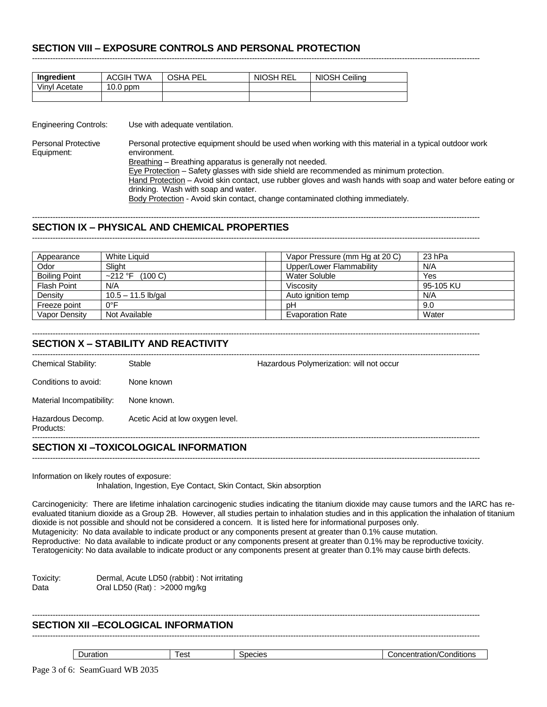# **SECTION VIII – EXPOSURE CONTROLS AND PERSONAL PROTECTION**

| <b>Ingredient</b> | <b>ACGIH TWA</b> | <b>OSHA PEL</b> | NIOSH REL | NIOSH Ceiling |
|-------------------|------------------|-----------------|-----------|---------------|
| Vinvl Acetate     | $10.0$ ppm       |                 |           |               |
|                   |                  |                 |           |               |

Engineering Controls: Use with adequate ventilation.

Personal Protective Personal protective equipment should be used when working with this material in a typical outdoor work Equipment: environment. Breathing - Breathing apparatus is generally not needed. Eye Protection - Safety glasses with side shield are recommended as minimum protection. Hand Protection – Avoid skin contact, use rubber gloves and wash hands with soap and water before eating or drinking. Wash with soap and water.

-----------------------------------------------------------------------------------------------------------------------------------------------------------------------------

Body Protection - Avoid skin contact, change contaminated clothing immediately.

-----------------------------------------------------------------------------------------------------------------------------------------------------------------------------

## ----------------------------------------------------------------------------------------------------------------------------------------------------------------------------- **SECTION IX – PHYSICAL AND CHEMICAL PROPERTIES**

| Appearance           | White Liquid          | Vapor Pressure (mm Hg at 20 C) | 23 hPa    |
|----------------------|-----------------------|--------------------------------|-----------|
| Odor                 | Slight                | Upper/Lower Flammability       | N/A       |
| <b>Boiling Point</b> | $\sim$ 212 °F (100 C) | Water Soluble                  | Yes       |
| <b>Flash Point</b>   | N/A                   | Viscosity                      | 95-105 KU |
| Density              | $10.5 - 11.5$ lb/gal  | Auto ignition temp             | N/A       |
| Freeze point         | 0°F                   | рH                             | 9.0       |
| Vapor Density        | Not Available         | <b>Evaporation Rate</b>        | Water     |

#### ----------------------------------------------------------------------------------------------------------------------------------------------------------------------------- **SECTION X – STABILITY AND REACTIVITY**

## **SECTION XI –TOXICOLOGICAL INFORMATION**

-----------------------------------------------------------------------------------------------------------------------------------------------------------------------------

Information on likely routes of exposure:

Inhalation, Ingestion, Eye Contact, Skin Contact, Skin absorption

Carcinogenicity: There are lifetime inhalation carcinogenic studies indicating the titanium dioxide may cause tumors and the IARC has reevaluated titanium dioxide as a Group 2B. However, all studies pertain to inhalation studies and in this application the inhalation of titanium dioxide is not possible and should not be considered a concern. It is listed here for informational purposes only. Mutagenicity: No data available to indicate product or any components present at greater than 0.1% cause mutation. Reproductive: No data available to indicate product or any components present at greater than 0.1% may be reproductive toxicity. Teratogenicity: No data available to indicate product or any components present at greater than 0.1% may cause birth defects.

Toxicity: Dermal, Acute LD50 (rabbit) : Not irritating Data **Oral LD50 (Rat): >2000 mg/kg** 

# **SECTION XII –ECOLOGICAL INFORMATION**

-----------------------------------------------------------------------------------------------------------------------------------------------------------------------------

| . .<br>'∼ہ ،<br>םוחם<br>77 L<br>аты<br>aп<br>-10 F<br>$\overline{\phantom{a}}$<br>---<br>고니니<br>ິບບ.<br>.<br>. .<br>___<br>.<br>. | $\cdots$<br>onditions. |
|-----------------------------------------------------------------------------------------------------------------------------------|------------------------|
|-----------------------------------------------------------------------------------------------------------------------------------|------------------------|

-----------------------------------------------------------------------------------------------------------------------------------------------------------------------------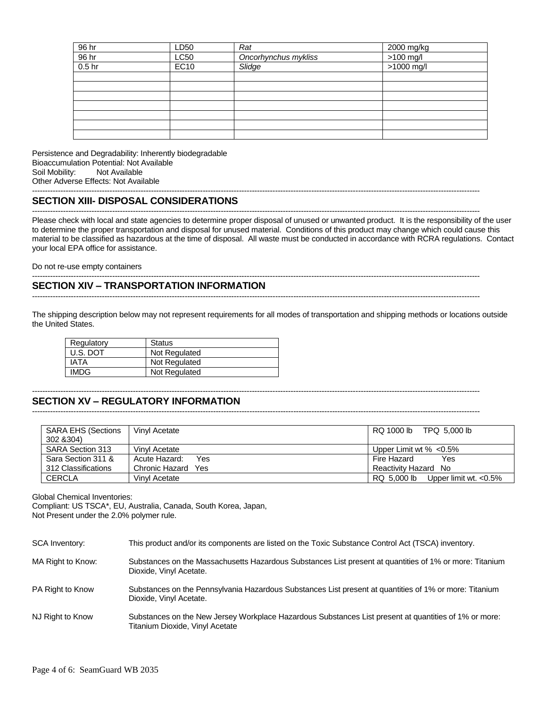| 96 hr             | LD50        | Rat                  | 2000 mg/kg   |
|-------------------|-------------|----------------------|--------------|
| 96 hr             | LC50        | Oncorhynchus mykliss | $>100$ mg/l  |
| 0.5 <sub>hr</sub> | <b>EC10</b> | Slidge               | $>1000$ mg/l |
|                   |             |                      |              |
|                   |             |                      |              |
|                   |             |                      |              |
|                   |             |                      |              |
|                   |             |                      |              |
|                   |             |                      |              |
|                   |             |                      |              |

Persistence and Degradability: Inherently biodegradable Bioaccumulation Potential: Not Available Soil Mobility: Not Available Other Adverse Effects: Not Available

# **SECTION XIII- DISPOSAL CONSIDERATIONS**

----------------------------------------------------------------------------------------------------------------------------------------------------------------------------- Please check with local and state agencies to determine proper disposal of unused or unwanted product. It is the responsibility of the user to determine the proper transportation and disposal for unused material. Conditions of this product may change which could cause this material to be classified as hazardous at the time of disposal. All waste must be conducted in accordance with RCRA regulations. Contact your local EPA office for assistance.

-----------------------------------------------------------------------------------------------------------------------------------------------------------------------------

-----------------------------------------------------------------------------------------------------------------------------------------------------------------------------

Do not re-use empty containers

# **SECTION XIV – TRANSPORTATION INFORMATION**

The shipping description below may not represent requirements for all modes of transportation and shipping methods or locations outside the United States.

-----------------------------------------------------------------------------------------------------------------------------------------------------------------------------

| Regulatory  | <b>Status</b> |
|-------------|---------------|
| U.S. DOT    | Not Regulated |
| IATA        | Not Regulated |
| <b>IMDG</b> | Not Regulated |

#### ----------------------------------------------------------------------------------------------------------------------------------------------------------------------------- **SECTION XV – REGULATORY INFORMATION**

-----------------------------------------------------------------------------------------------------------------------------------------------------------------------------

| <b>SARA EHS (Sections</b><br>302 & 304) | Vinyl Acetate                | RQ 1000 lb<br>TPQ 5.000 lb               |
|-----------------------------------------|------------------------------|------------------------------------------|
| SARA Section 313                        | Vinyl Acetate                | Upper Limit wt $% < 0.5\%$               |
| Sara Section 311 &                      | Acute Hazard:<br>Yes         | Fire Hazard<br>Yes                       |
| 312 Classifications                     | Chronic Hazard<br><b>Yes</b> | Reactivity Hazard No                     |
| <b>CERCLA</b>                           | Vinyl Acetate                | RQ 5.000 lb<br>Upper limit wt. $< 0.5\%$ |

Global Chemical Inventories:

Compliant: US TSCA\*, EU, Australia, Canada, South Korea, Japan, Not Present under the 2.0% polymer rule.

| SCA Inventory:    | This product and/or its components are listed on the Toxic Substance Control Act (TSCA) inventory.                                       |
|-------------------|------------------------------------------------------------------------------------------------------------------------------------------|
| MA Right to Know: | Substances on the Massachusetts Hazardous Substances List present at quantities of 1% or more: Titanium<br>Dioxide, Vinyl Acetate.       |
| PA Right to Know  | Substances on the Pennsylvania Hazardous Substances List present at quantities of 1% or more: Titanium<br>Dioxide, Vinyl Acetate.        |
| NJ Right to Know  | Substances on the New Jersey Workplace Hazardous Substances List present at quantities of 1% or more:<br>Titanium Dioxide, Vinyl Acetate |